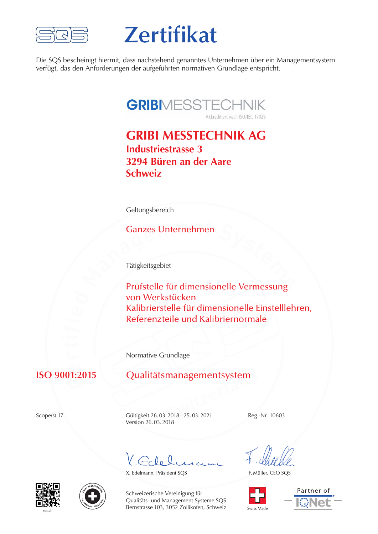

# **Zertifikat**

Die SQS bescheinigt hiermit, dass nachstehend genanntes Unternehmen über ein Managementsystem verfügt, das den Anforderungen der aufgeführten normativen Grundlage entspricht.

# **GRIBIMESSTECHNIK**

Akkreditiert nach ISO/IEC 17025

## **GRIBI MESSTECHNIK AG Industriestrasse 3 3294 Büren an der Aare Schweiz**

Geltungsbereich

#### Ganzes Unternehmen

Tätigkeitsgebiet

**<sup>M</sup>anagemen<sup>t</sup> <sup>S</sup>ystem<sup>s</sup>** Prüfstelle für dimensionelle Vermessung von Werkstücken<br>Kalibrierstelle für Kalibrierstelle für dimensionelle Einstelllehren, Referenzteile und Kalibriernormale

Normative Grundlage

# **C e**<br>11.0

# **ISO 9001:2015** Qualitätsmanagementsystem<br>
Scope(s) 17 Gültigkeit 26.03.2018–25.03.2021 Reg.

Scope(s) 17 Gültigkeit 26.03.2018 – 25.03.2021 Reg.-Nr. 10603 Version 26.03.2018

 $G_{c}\mathcal{Q}_{\Omega}$ 

X. Edelmann, Präsident SQS

F. Müller, CEO SQS









Schweizerische Vereinigung für Qualitäts- und Management-Systeme SQS Bernstrasse 103, 3052 Zollikofen, Schweiz